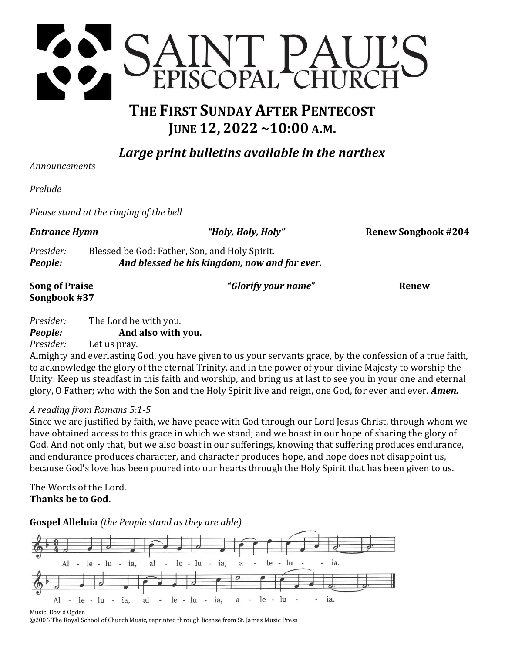

# **THE FIRST SUNDAY AFTER PENTECOST JUNE 12, 2022 ~10:00 A.M.**

*Large print bulletins available in the narthex*

*Announcements* 

*Prelude* 

*Please stand at the ringing of the bell*

*Entrance Hymn "Holy, Holy, Holy"* **Renew Songbook #204**

*Presider:* Blessed be God: Father, Son, and Holy Spirit. *People: And blessed be his kingdom, now and for ever.*

| <b>Song of Praise</b><br>Songbook #37 |                      | "Glorify your name" | Renew |
|---------------------------------------|----------------------|---------------------|-------|
| Drocidor.                             | The Lord he with you |                     |       |

### *Presider:* The Lord be with you. *People:* **And also with you.**

*Presider:* Let us pray.

Almighty and everlasting God, you have given to us your servants grace, by the confession of a true faith, to acknowledge the glory of the eternal Trinity, and in the power of your divine Majesty to worship the Unity: Keep us steadfast in this faith and worship, and bring us at last to see you in your one and eternal glory, O Father; who with the Son and the Holy Spirit live and reign, one God, for ever and ever. *Amen.*

# *A reading from Romans 5:1-5*

Since we are justified by faith, we have peace with God through our Lord Jesus Christ, through whom we have obtained access to this grace in which we stand; and we boast in our hope of sharing the glory of God. And not only that, but we also boast in our sufferings, knowing that suffering produces endurance, and endurance produces character, and character produces hope, and hope does not disappoint us, because God's love has been poured into our hearts through the Holy Spirit that has been given to us.

The Words of the Lord. **Thanks be to God.**

**Gospel Alleluia** *(the People stand as they are able)*



Music: David Ogden ©2006 The Royal School of Church Music, reprinted through license from St. James Music Press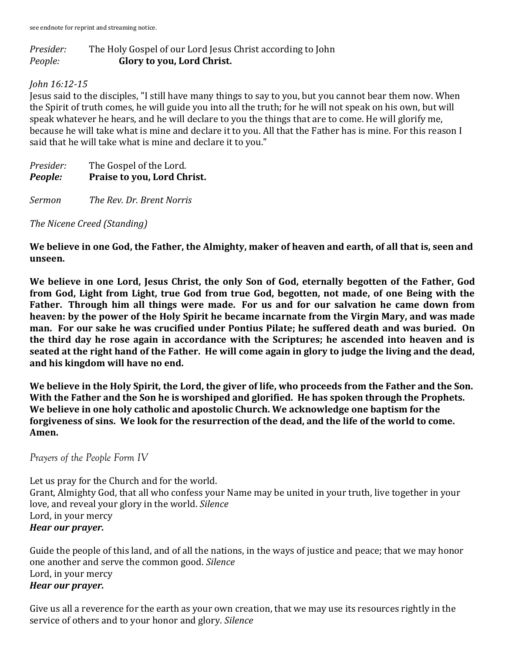# *Presider:* The Holy Gospel of our Lord Jesus Christ according to John *People:* **Glory to you, Lord Christ.**

# *John 16:12-15*

Jesus said to the disciples, "I still have many things to say to you, but you cannot bear them now. When the Spirit of truth comes, he will guide you into all the truth; for he will not speak on his own, but will speak whatever he hears, and he will declare to you the things that are to come. He will glorify me, because he will take what is mine and declare it to you. All that the Father has is mine. For this reason I said that he will take what is mine and declare it to you."

*Presider:* The Gospel of the Lord. *People:* **Praise to you, Lord Christ.**

*Sermon The Rev. Dr. Brent Norris*

*The Nicene Creed (Standing)*

**We believe in one God, the Father, the Almighty, maker of heaven and earth, of all that is, seen and unseen.**

**We believe in one Lord, Jesus Christ, the only Son of God, eternally begotten of the Father, God from God, Light from Light, true God from true God, begotten, not made, of one Being with the Father. Through him all things were made. For us and for our salvation he came down from heaven: by the power of the Holy Spirit he became incarnate from the Virgin Mary, and was made man. For our sake he was crucified under Pontius Pilate; he suffered death and was buried. On the third day he rose again in accordance with the Scriptures; he ascended into heaven and is seated at the right hand of the Father. He will come again in glory to judge the living and the dead, and his kingdom will have no end.**

**We believe in the Holy Spirit, the Lord, the giver of life, who proceeds from the Father and the Son. With the Father and the Son he is worshiped and glorified. He has spoken through the Prophets. We believe in one holy catholic and apostolic Church. We acknowledge one baptism for the forgiveness of sins. We look for the resurrection of the dead, and the life of the world to come. Amen.**

*Prayers of the People Form IV*

Let us pray for the Church and for the world. Grant, Almighty God, that all who confess your Name may be united in your truth, live together in your love, and reveal your glory in the world. *Silence* Lord, in your mercy *Hear our prayer.*

Guide the people of this land, and of all the nations, in the ways of justice and peace; that we may honor one another and serve the common good. *Silence* Lord, in your mercy *Hear our prayer.*

Give us all a reverence for the earth as your own creation, that we may use its resources rightly in the service of others and to your honor and glory. *Silence*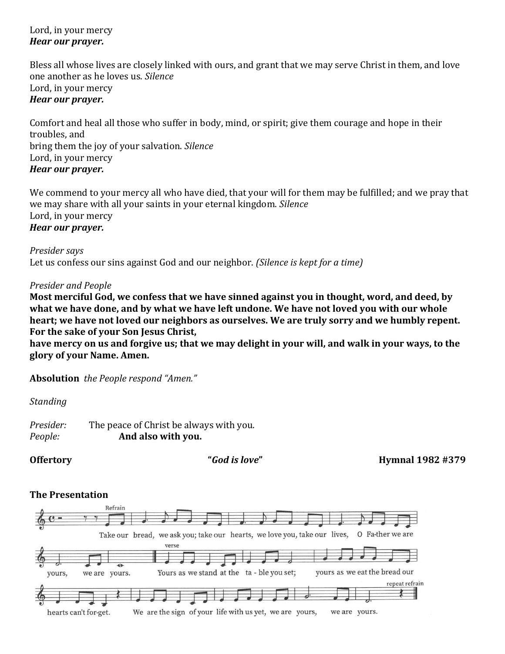Lord, in your mercy *Hear our prayer.*

Bless all whose lives are closely linked with ours, and grant that we may serve Christ in them, and love one another as he loves us. *Silence* Lord, in your mercy *Hear our prayer.*

Comfort and heal all those who suffer in body, mind, or spirit; give them courage and hope in their troubles, and bring them the joy of your salvation. *Silence* Lord, in your mercy *Hear our prayer.*

We commend to your mercy all who have died, that your will for them may be fulfilled; and we pray that we may share with all your saints in your eternal kingdom. *Silence* Lord, in your mercy *Hear our prayer.*

*Presider says* Let us confess our sins against God and our neighbor. *(Silence is kept for a time)*

### *Presider and People*

**Most merciful God, we confess that we have sinned against you in thought, word, and deed, by what we have done, and by what we have left undone. We have not loved you with our whole heart; we have not loved our neighbors as ourselves. We are truly sorry and we humbly repent. For the sake of your Son Jesus Christ,**

**have mercy on us and forgive us; that we may delight in your will, and walk in your ways, to the glory of your Name. Amen.**

**Absolution** *the People respond "Amen."*

*Standing*

*Presider:* The peace of Christ be always with you. *People:* **And also with you.**

**Offertory "***God is love***" Hymnal 1982 #379**

### **The Presentation**

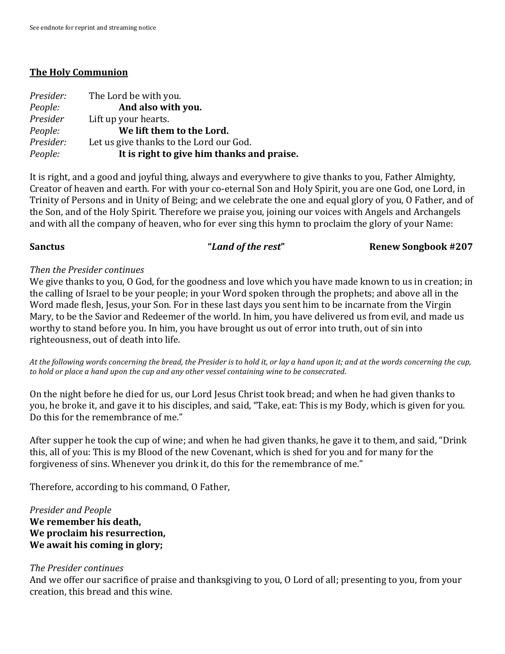### **The Holy Communion**

| Presider: | The Lord be with you.                      |
|-----------|--------------------------------------------|
| People:   | And also with you.                         |
| Presider  | Lift up your hearts.                       |
| People:   | We lift them to the Lord.                  |
| Presider: | Let us give thanks to the Lord our God.    |
| People:   | It is right to give him thanks and praise. |

It is right, and a good and joyful thing, always and everywhere to give thanks to you, Father Almighty, Creator of heaven and earth. For with your co-eternal Son and Holy Spirit, you are one God, one Lord, in Trinity of Persons and in Unity of Being; and we celebrate the one and equal glory of you, O Father, and of the Son, and of the Holy Spirit. Therefore we praise you, joining our voices with Angels and Archangels and with all the company of heaven, who for ever sing this hymn to proclaim the glory of your Name:

### **Sanctus** *"Land of the rest"* **Renew Songbook #207**

### *Then the Presider continues*

We give thanks to you, O God, for the goodness and love which you have made known to us in creation; in the calling of Israel to be your people; in your Word spoken through the prophets; and above all in the Word made flesh, Jesus, your Son. For in these last days you sent him to be incarnate from the Virgin Mary, to be the Savior and Redeemer of the world. In him, you have delivered us from evil, and made us worthy to stand before you. In him, you have brought us out of error into truth, out of sin into righteousness, out of death into life.

*At the following words concerning the bread, the Presider is to hold it, or lay a hand upon it; and at the words concerning the cup, to hold or place a hand upon the cup and any other vessel containing wine to be consecrated*.

On the night before he died for us, our Lord Jesus Christ took bread; and when he had given thanks to you, he broke it, and gave it to his disciples, and said, "Take, eat: This is my Body, which is given for you. Do this for the remembrance of me."

After supper he took the cup of wine; and when he had given thanks, he gave it to them, and said, "Drink this, all of you: This is my Blood of the new Covenant, which is shed for you and for many for the forgiveness of sins. Whenever you drink it, do this for the remembrance of me."

Therefore, according to his command, O Father,

### *Presider and People* **We remember his death, We proclaim his resurrection, We await his coming in glory;**

### *The Presider continues*

And we offer our sacrifice of praise and thanksgiving to you, O Lord of all; presenting to you, from your creation, this bread and this wine.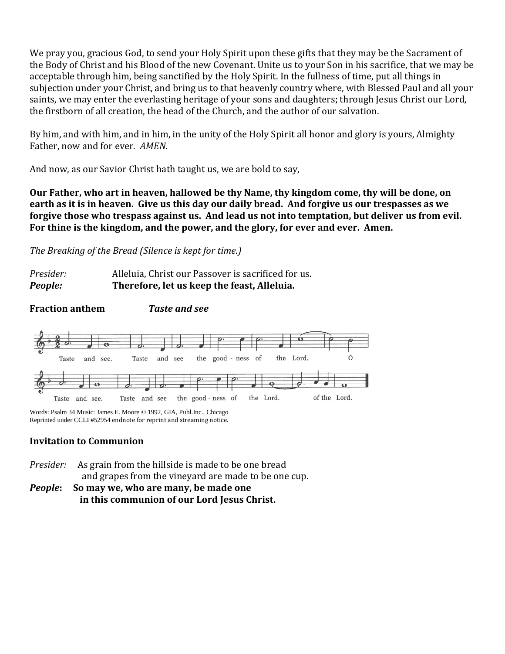We pray you, gracious God, to send your Holy Spirit upon these gifts that they may be the Sacrament of the Body of Christ and his Blood of the new Covenant. Unite us to your Son in his sacrifice, that we may be acceptable through him, being sanctified by the Holy Spirit. In the fullness of time, put all things in subjection under your Christ, and bring us to that heavenly country where, with Blessed Paul and all your saints, we may enter the everlasting heritage of your sons and daughters; through Jesus Christ our Lord, the firstborn of all creation, the head of the Church, and the author of our salvation.

By him, and with him, and in him, in the unity of the Holy Spirit all honor and glory is yours, Almighty Father, now and for ever. *AMEN.*

And now, as our Savior Christ hath taught us, we are bold to say,

**Our Father, who art in heaven, hallowed be thy Name, thy kingdom come, thy will be done, on earth as it is in heaven. Give us this day our daily bread. And forgive us our trespasses as we forgive those who trespass against us. And lead us not into temptation, but deliver us from evil. For thine is the kingdom, and the power, and the glory, for ever and ever. Amen.**

*The Breaking of the Bread (Silence is kept for time.)*

| Presider: | Alleluia, Christ our Passover is sacrificed for us. |
|-----------|-----------------------------------------------------|
| People:   | Therefore, let us keep the feast, Alleluia.         |

**Fraction anthem** *Taste and see*



Words: Psalm 34 Music: James E. Moore © 1992, GIA, Publ.Inc., Chicago Reprinted under CCLI #52954 endnote for reprint and streaming notice.

## **Invitation to Communion**

*Presider:* As grain from the hillside is made to be one bread and grapes from the vineyard are made to be one cup. *People***: So may we, who are many, be made one in this communion of our Lord Jesus Christ.**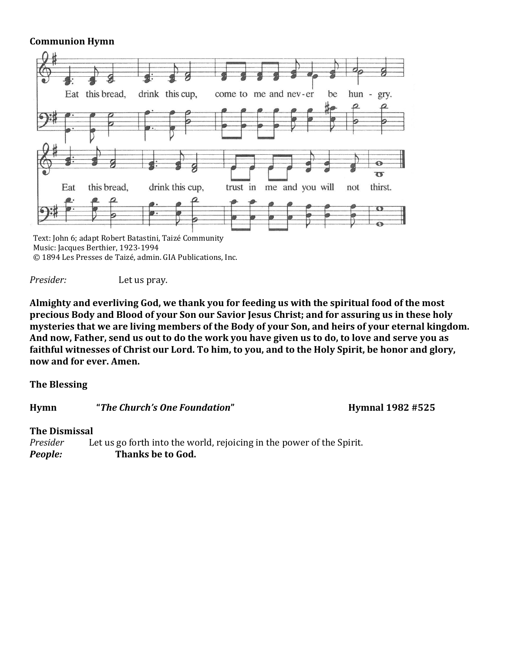### **Communion Hymn**



*Presider:* Let us pray.

**Almighty and everliving God, we thank you for feeding us with the spiritual food of the most precious Body and Blood of your Son our Savior Jesus Christ; and for assuring us in these holy mysteries that we are living members of the Body of your Son, and heirs of your eternal kingdom. And now, Father, send us out to do the work you have given us to do, to love and serve you as faithful witnesses of Christ our Lord. To him, to you, and to the Holy Spirit, be honor and glory, now and for ever. Amen.**

**The Blessing**

**Hymn "***The Church's One Foundation***" Hymnal 1982 #525**

### **The Dismissal**

*Presider* Let us go forth into the world, rejoicing in the power of the Spirit. *People:* **Thanks be to God.**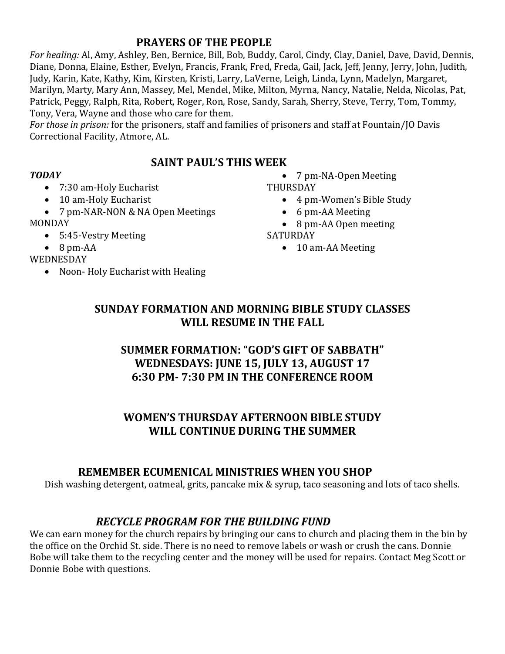# **PRAYERS OF THE PEOPLE**

*For healing:* Al, Amy, Ashley, Ben, Bernice, Bill, Bob, Buddy, Carol, Cindy, Clay, Daniel, Dave, David, Dennis, Diane, Donna, Elaine, Esther, Evelyn, Francis, Frank, Fred, Freda, Gail, Jack, Jeff, Jenny, Jerry, John, Judith, Judy, Karin, Kate, Kathy, Kim, Kirsten, Kristi, Larry, LaVerne, Leigh, Linda, Lynn, Madelyn, Margaret, Marilyn, Marty, Mary Ann, Massey, Mel, Mendel, Mike, Milton, Myrna, Nancy, Natalie, Nelda, Nicolas, Pat, Patrick, Peggy, Ralph, Rita, Robert, Roger, Ron, Rose, Sandy, Sarah, Sherry, Steve, Terry, Tom, Tommy, Tony, Vera, Wayne and those who care for them.

*For those in prison:* for the prisoners, staff and families of prisoners and staff at Fountain/JO Davis Correctional Facility, Atmore, AL.

# **SAINT PAUL'S THIS WEEK**

### *TODAY*

- 7:30 am-Holy Eucharist
- 10 am-Holy Eucharist
- 7 pm-NAR-NON & NA Open Meetings MONDAY
	- 5:45-Vestry Meeting
	- 8 pm-AA
- WEDNESDAY
	- Noon- Holy Eucharist with Healing

• 7 pm-NA-Open Meeting THURSDAY

- 4 pm-Women's Bible Study
- 6 pm-AA Meeting
- 8 pm-AA Open meeting

## SATURDAY

• 10 am-AA Meeting

# **SUNDAY FORMATION AND MORNING BIBLE STUDY CLASSES WILL RESUME IN THE FALL**

# **SUMMER FORMATION: "GOD'S GIFT OF SABBATH" WEDNESDAYS: JUNE 15, JULY 13, AUGUST 17 6:30 PM- 7:30 PM IN THE CONFERENCE ROOM**

# **WOMEN'S THURSDAY AFTERNOON BIBLE STUDY WILL CONTINUE DURING THE SUMMER**

# **REMEMBER ECUMENICAL MINISTRIES WHEN YOU SHOP**

Dish washing detergent, oatmeal, grits, pancake mix & syrup, taco seasoning and lots of taco shells.

# *RECYCLE PROGRAM FOR THE BUILDING FUND*

We can earn money for the church repairs by bringing our cans to church and placing them in the bin by the office on the Orchid St. side. There is no need to remove labels or wash or crush the cans. Donnie Bobe will take them to the recycling center and the money will be used for repairs. Contact Meg Scott or Donnie Bobe with questions.